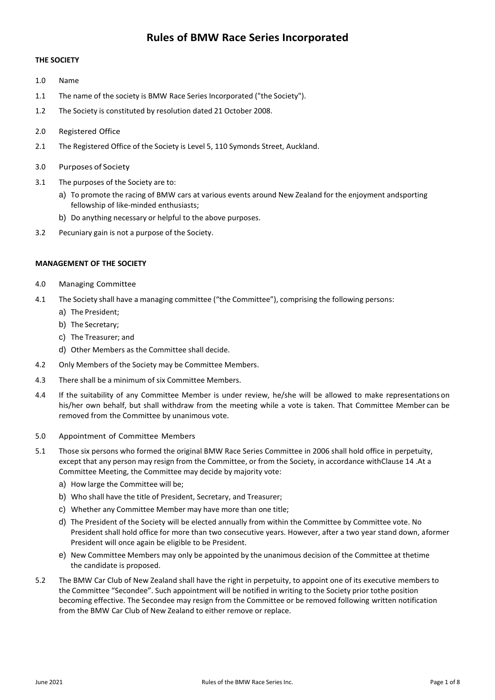# **Rules of BMW Race Series Incorporated**

## **THE SOCIETY**

- 1.0 Name
- 1.1 The name of the society is BMW Race Series Incorporated ("the Society").
- 1.2 The Society is constituted by resolution dated 21 October 2008.
- 2.0 Registered Office
- 2.1 The Registered Office of the Society is Level 5, 110 Symonds Street, Auckland.
- 3.0 Purposes of Society
- 3.1 The purposes of the Society are to:
	- a) To promote the racing of BMW cars at various events around New Zealand for the enjoyment andsporting fellowship of like-minded enthusiasts;
	- b) Do anything necessary or helpful to the above purposes.
- 3.2 Pecuniary gain is not a purpose of the Society.

## **MANAGEMENT OF THE SOCIETY**

- 4.0 Managing Committee
- 4.1 The Society shall have a managing committee ("the Committee"), comprising the following persons:
	- a) The President;
	- b) The Secretary;
	- c) The Treasurer; and
	- d) Other Members as the Committee shall decide.
- 4.2 Only Members of the Society may be Committee Members.
- 4.3 There shall be a minimum of six Committee Members.
- 4.4 If the suitability of any Committee Member is under review, he/she will be allowed to make representations on his/her own behalf, but shall withdraw from the meeting while a vote is taken. That Committee Member can be removed from the Committee by unanimous vote.
- 5.0 Appointment of Committee Members
- 5.1 Those six persons who formed the original BMW Race Series Committee in 2006 shall hold office in perpetuity, except that any person may resign from the Committee, or from the Society, in accordance withClause 14 .At a Committee Meeting, the Committee may decide by majority vote:
	- a) How large the Committee will be;
	- b) Who shall have the title of President, Secretary, and Treasurer;
	- c) Whether any Committee Member may have more than one title;
	- d) The President of the Society will be elected annually from within the Committee by Committee vote. No President shall hold office for more than two consecutive years. However, after a two year stand down, aformer President will once again be eligible to be President.
	- e) New Committee Members may only be appointed by the unanimous decision of the Committee at thetime the candidate is proposed.
- 5.2 The BMW Car Club of New Zealand shall have the right in perpetuity, to appoint one of its executive members to the Committee "Secondee". Such appointment will be notified in writing to the Society prior tothe position becoming effective. The Secondee may resign from the Committee or be removed following written notification from the BMW Car Club of New Zealand to either remove or replace.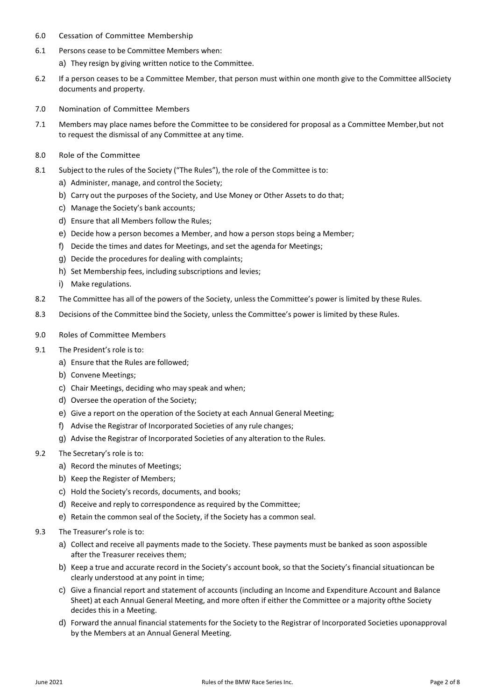- 6.0 Cessation of Committee Membership
- 6.1 Persons cease to be Committee Members when:
	- a) They resign by giving written notice to the Committee.
- 6.2 If a person ceases to be a Committee Member, that person must within one month give to the Committee allSociety documents and property.
- 7.0 Nomination of Committee Members
- 7.1 Members may place names before the Committee to be considered for proposal as a Committee Member,but not to request the dismissal of any Committee at any time.
- 8.0 Role of the Committee
- 8.1 Subject to the rules of the Society ("The Rules"), the role of the Committee is to:
	- a) Administer, manage, and control the Society;
	- b) Carry out the purposes of the Society, and Use Money or Other Assets to do that;
	- c) Manage the Society's bank accounts;
	- d) Ensure that all Members follow the Rules;
	- e) Decide how a person becomes a Member, and how a person stops being a Member;
	- f) Decide the times and dates for Meetings, and set the agenda for Meetings;
	- g) Decide the procedures for dealing with complaints;
	- h) Set Membership fees, including subscriptions and levies;
	- i) Make regulations.
- 8.2 The Committee has all of the powers of the Society, unless the Committee's power is limited by these Rules.
- 8.3 Decisions of the Committee bind the Society, unless the Committee's power is limited by these Rules.
- 9.0 Roles of Committee Members
- 9.1 The President's role is to:
	- a) Ensure that the Rules are followed;
	- b) Convene Meetings;
	- c) Chair Meetings, deciding who may speak and when;
	- d) Oversee the operation of the Society;
	- e) Give a report on the operation of the Society at each Annual General Meeting;
	- f) Advise the Registrar of Incorporated Societies of any rule changes;
	- g) Advise the Registrar of Incorporated Societies of any alteration to the Rules.
- 9.2 The Secretary's role is to:
	- a) Record the minutes of Meetings;
	- b) Keep the Register of Members;
	- c) Hold the Society's records, documents, and books;
	- d) Receive and reply to correspondence as required by the Committee;
	- e) Retain the common seal of the Society, if the Society has a common seal.
- 9.3 The Treasurer's role is to:
	- a) Collect and receive all payments made to the Society. These payments must be banked as soon aspossible after the Treasurer receives them;
	- b) Keep a true and accurate record in the Society's account book, so that the Society's financial situationcan be clearly understood at any point in time;
	- c) Give a financial report and statement of accounts (including an Income and Expenditure Account and Balance Sheet) at each Annual General Meeting, and more often if either the Committee or a majority ofthe Society decides this in a Meeting.
	- d) Forward the annual financial statements for the Society to the Registrar of Incorporated Societies uponapproval by the Members at an Annual General Meeting.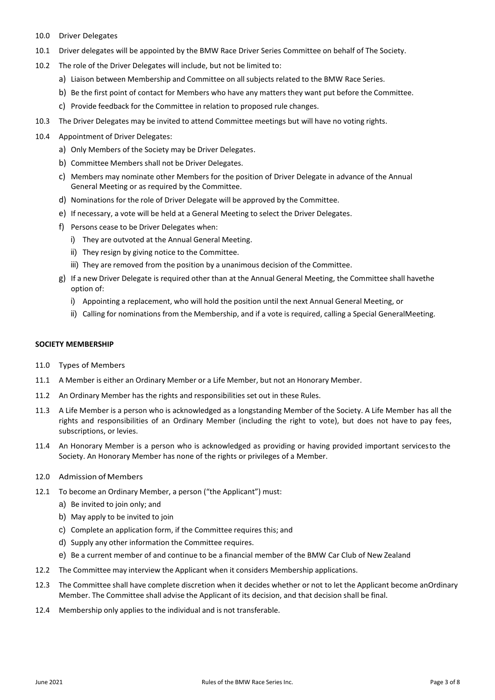- 10.0 Driver Delegates
- 10.1 Driver delegates will be appointed by the BMW Race Driver Series Committee on behalf of The Society.
- 10.2 The role of the Driver Delegates will include, but not be limited to:
	- a) Liaison between Membership and Committee on all subjects related to the BMW Race Series.
	- b) Be the first point of contact for Members who have any matters they want put before the Committee.
	- c) Provide feedback for the Committee in relation to proposed rule changes.
- 10.3 The Driver Delegates may be invited to attend Committee meetings but will have no voting rights.
- 10.4 Appointment of Driver Delegates:
	- a) Only Members of the Society may be Driver Delegates.
	- b) Committee Members shall not be Driver Delegates.
	- c) Members may nominate other Members for the position of Driver Delegate in advance of the Annual General Meeting or as required by the Committee.
	- d) Nominations for the role of Driver Delegate will be approved by the Committee.
	- e) If necessary, a vote will be held at a General Meeting to select the Driver Delegates.
	- f) Persons cease to be Driver Delegates when:
		- i) They are outvoted at the Annual General Meeting.
		- ii) They resign by giving notice to the Committee.
		- iii) They are removed from the position by a unanimous decision of the Committee.
	- g) If a new Driver Delegate is required other than at the Annual General Meeting, the Committee shall havethe option of:
		- i) Appointing a replacement, who will hold the position until the next Annual General Meeting, or
		- ii) Calling for nominations from the Membership, and if a vote is required, calling a Special GeneralMeeting.

#### **SOCIETY MEMBERSHIP**

- 11.0 Types of Members
- 11.1 A Member is either an Ordinary Member or a Life Member, but not an Honorary Member.
- 11.2 An Ordinary Member has the rights and responsibilities set out in these Rules.
- 11.3 A Life Member is a person who is acknowledged as a longstanding Member of the Society. A Life Member has all the rights and responsibilities of an Ordinary Member (including the right to vote), but does not have to pay fees, subscriptions, or levies.
- 11.4 An Honorary Member is a person who is acknowledged as providing or having provided important servicesto the Society. An Honorary Member has none of the rights or privileges of a Member.
- 12.0 Admission of Members
- 12.1 To become an Ordinary Member, a person ("the Applicant") must:
	- a) Be invited to join only; and
	- b) May apply to be invited to join
	- c) Complete an application form, if the Committee requires this; and
	- d) Supply any other information the Committee requires.
	- e) Be a current member of and continue to be a financial member of the BMW Car Club of New Zealand
- 12.2 The Committee may interview the Applicant when it considers Membership applications.
- 12.3 The Committee shall have complete discretion when it decides whether or not to let the Applicant become anOrdinary Member. The Committee shall advise the Applicant of its decision, and that decision shall be final.
- 12.4 Membership only applies to the individual and is not transferable.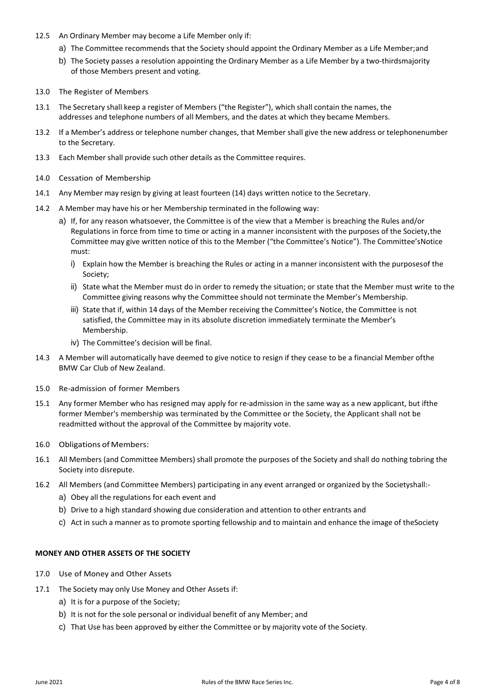- 12.5 An Ordinary Member may become a Life Member only if:
	- a) The Committee recommends that the Society should appoint the Ordinary Member as a Life Member;and
	- b) The Society passes a resolution appointing the Ordinary Member as a Life Member by a two-thirdsmajority of those Members present and voting.
- 13.0 The Register of Members
- 13.1 The Secretary shall keep a register of Members ("the Register"), which shall contain the names, the addresses and telephone numbers of all Members, and the dates at which they became Members.
- 13.2 If a Member's address or telephone number changes, that Member shall give the new address or telephonenumber to the Secretary.
- 13.3 Each Member shall provide such other details as the Committee requires.
- 14.0 Cessation of Membership
- 14.1 Any Member may resign by giving at least fourteen (14) days written notice to the Secretary.
- 14.2 A Member may have his or her Membership terminated in the following way:
	- a) If, for any reason whatsoever, the Committee is of the view that a Member is breaching the Rules and/or Regulations in force from time to time or acting in a manner inconsistent with the purposes of the Society,the Committee may give written notice of this to the Member ("the Committee's Notice"). The Committee'sNotice must:
		- i) Explain how the Member is breaching the Rules or acting in a manner inconsistent with the purposesof the Society;
		- ii) State what the Member must do in order to remedy the situation; or state that the Member must write to the Committee giving reasons why the Committee should not terminate the Member's Membership.
		- iii) State that if, within 14 days of the Member receiving the Committee's Notice, the Committee is not satisfied, the Committee may in its absolute discretion immediately terminate the Member's Membership.
		- iv) The Committee's decision will be final.
- 14.3 A Member will automatically have deemed to give notice to resign if they cease to be a financial Member ofthe BMW Car Club of New Zealand.
- 15.0 Re-admission of former Members
- 15.1 Any former Member who has resigned may apply for re-admission in the same way as a new applicant, but ifthe former Member's membership was terminated by the Committee or the Society, the Applicant shall not be readmitted without the approval of the Committee by majority vote.
- 16.0 Obligations of Members:
- 16.1 All Members (and Committee Members) shall promote the purposes of the Society and shall do nothing tobring the Society into disrepute.
- 16.2 All Members (and Committee Members) participating in any event arranged or organized by the Societyshall:
	- a) Obey all the regulations for each event and
	- b) Drive to a high standard showing due consideration and attention to other entrants and
	- c) Act in such a manner as to promote sporting fellowship and to maintain and enhance the image of theSociety

## **MONEY AND OTHER ASSETS OF THE SOCIETY**

- 17.0 Use of Money and Other Assets
- 17.1 The Society may only Use Money and Other Assets if:
	- a) It is for a purpose of the Society;
	- b) It is not for the sole personal or individual benefit of any Member; and
	- c) That Use has been approved by either the Committee or by majority vote of the Society.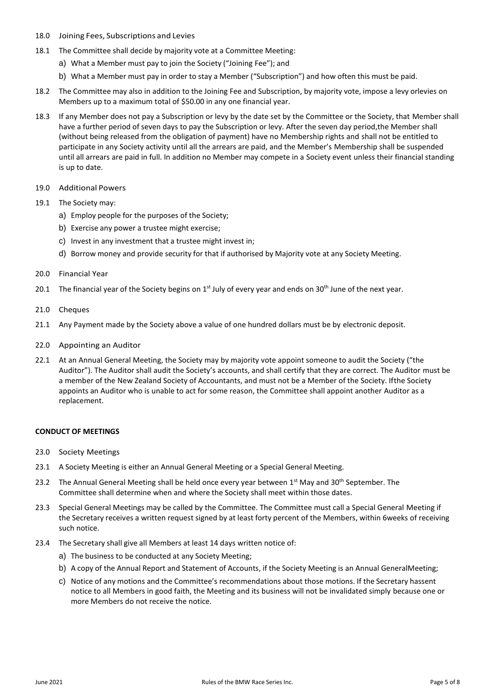- 18.0 Joining Fees, Subscriptions and Levies
- 18.1 The Committee shall decide by majority vote at a Committee Meeting:
	- a) What a Member must pay to join the Society ("Joining Fee"); and
	- b) What a Member must pay in order to stay a Member ("Subscription") and how often this must be paid.
- 18.2 The Committee may also in addition to the Joining Fee and Subscription, by majority vote, impose a levy orlevies on Members up to a maximum total of \$50.00 in any one financial year.
- 18.3 If any Member does not pay a Subscription or levy by the date set by the Committee or the Society, that Member shall have a further period of seven days to pay the Subscription or levy. After the seven day period,the Member shall (without being released from the obligation of payment) have no Membership rights and shall not be entitled to participate in any Society activity until all the arrears are paid, and the Member's Membership shall be suspended until all arrears are paid in full. In addition no Member may compete in a Society event unless their financial standing is up to date.
- 19.0 Additional Powers
- 19.1 The Society may:
	- a) Employ people for the purposes of the Society;
	- b) Exercise any power a trustee might exercise;
	- c) Invest in any investment that a trustee might invest in;
	- d) Borrow money and provide security for that if authorised by Majority vote at any Society Meeting.
- 20.0 Financial Year
- 20.1 The financial year of the Society begins on 1<sup>st</sup> July of every year and ends on 30<sup>th</sup> June of the next year.
- 21.0 Cheques
- 21.1 Any Payment made by the Society above a value of one hundred dollars must be by electronic deposit.
- 22.0 Appointing an Auditor
- 22.1 At an Annual General Meeting, the Society may by majority vote appoint someone to audit the Society ("the Auditor"). The Auditor shall audit the Society's accounts, and shall certify that they are correct. The Auditor must be a member of the New Zealand Society of Accountants, and must not be a Member of the Society. Ifthe Society appoints an Auditor who is unable to act for some reason, the Committee shall appoint another Auditor as a replacement.

## **CONDUCT OF MEETINGS**

- 23.0 Society Meetings
- 23.1 A Society Meeting is either an Annual General Meeting or a Special General Meeting.
- 23.2 The Annual General Meeting shall be held once every year between  $1<sup>st</sup>$  May and 30<sup>th</sup> September. The Committee shall determine when and where the Society shall meet within those dates.
- 23.3 Special General Meetings may be called by the Committee. The Committee must call a Special General Meeting if the Secretary receives a written request signed by at least forty percent of the Members, within 6weeks of receiving such notice.
- 23.4 The Secretary shall give all Members at least 14 days written notice of:
	- a) The business to be conducted at any Society Meeting;
	- b) A copy of the Annual Report and Statement of Accounts, if the Society Meeting is an Annual GeneralMeeting;
	- c) Notice of any motions and the Committee's recommendations about those motions. If the Secretary hassent notice to all Members in good faith, the Meeting and its business will not be invalidated simply because one or more Members do not receive the notice.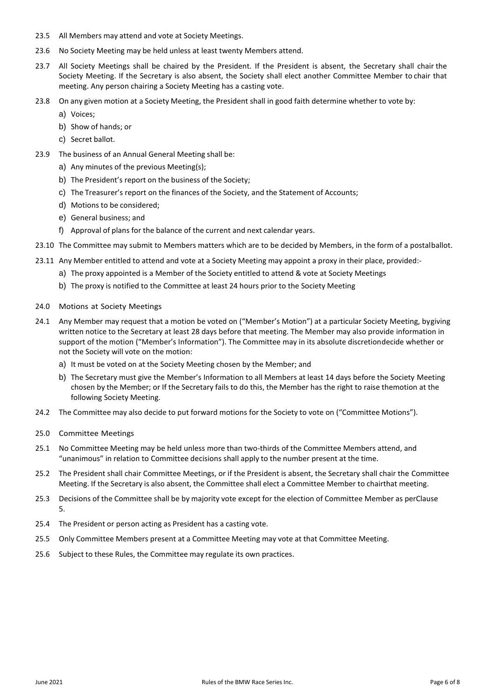- 23.5 All Members may attend and vote at Society Meetings.
- 23.6 No Society Meeting may be held unless at least twenty Members attend.
- 23.7 All Society Meetings shall be chaired by the President. If the President is absent, the Secretary shall chair the Society Meeting. If the Secretary is also absent, the Society shall elect another Committee Member to chair that meeting. Any person chairing a Society Meeting has a casting vote.
- 23.8 On any given motion at a Society Meeting, the President shall in good faith determine whether to vote by:
	- a) Voices;
	- b) Show of hands; or
	- c) Secret ballot.
- 23.9 The business of an Annual General Meeting shall be:
	- a) Any minutes of the previous Meeting(s);
	- b) The President's report on the business of the Society;
	- c) The Treasurer's report on the finances of the Society, and the Statement of Accounts;
	- d) Motions to be considered;
	- e) General business; and
	- f) Approval of plans for the balance of the current and next calendar years.
- 23.10 The Committee may submit to Members matters which are to be decided by Members, in the form of a postalballot.
- 23.11 Any Member entitled to attend and vote at a Society Meeting may appoint a proxy in their place, provided:
	- a) The proxy appointed is a Member of the Society entitled to attend & vote at Society Meetings
	- b) The proxy is notified to the Committee at least 24 hours prior to the Society Meeting
- 24.0 Motions at Society Meetings
- 24.1 Any Member may request that a motion be voted on ("Member's Motion") at a particular Society Meeting, bygiving written notice to the Secretary at least 28 days before that meeting. The Member may also provide information in support of the motion ("Member's Information"). The Committee may in its absolute discretiondecide whether or not the Society will vote on the motion:
	- a) It must be voted on at the Society Meeting chosen by the Member; and
	- b) The Secretary must give the Member's Information to all Members at least 14 days before the Society Meeting chosen by the Member; or If the Secretary fails to do this, the Member has the right to raise themotion at the following Society Meeting.
- 24.2 The Committee may also decide to put forward motions for the Society to vote on ("Committee Motions").
- 25.0 Committee Meetings
- 25.1 No Committee Meeting may be held unless more than two-thirds of the Committee Members attend, and "unanimous" in relation to Committee decisions shall apply to the number present at the time.
- 25.2 The President shall chair Committee Meetings, or if the President is absent, the Secretary shall chair the Committee Meeting. If the Secretary is also absent, the Committee shall elect a Committee Member to chairthat meeting.
- 25.3 Decisions of the Committee shall be by majority vote except for the election of Committee Member as perClause 5.
- 25.4 The President or person acting as President has a casting vote.
- 25.5 Only Committee Members present at a Committee Meeting may vote at that Committee Meeting.
- 25.6 Subject to these Rules, the Committee may regulate its own practices.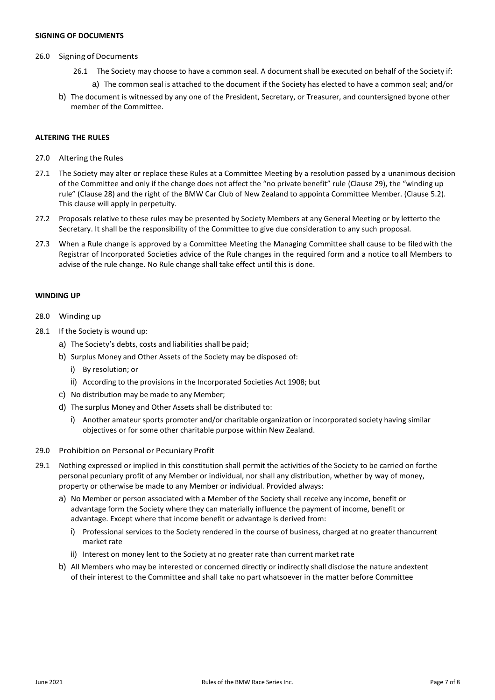#### **SIGNING OF DOCUMENTS**

- 26.0 Signing of Documents
	- 26.1 The Society may choose to have a common seal. A document shall be executed on behalf of the Society if: a) The common seal is attached to the document if the Society has elected to have a common seal; and/or
	- b) The document is witnessed by any one of the President, Secretary, or Treasurer, and countersigned byone other member of the Committee.

## **ALTERING THE RULES**

- 27.0 Altering the Rules
- 27.1 The Society may alter or replace these Rules at a Committee Meeting by a resolution passed by a unanimous decision of the Committee and only if the change does not affect the "no private benefit" rule (Clause 29), the "winding up rule" (Clause 28) and the right of the BMW Car Club of New Zealand to appointa Committee Member. (Clause 5.2). This clause will apply in perpetuity.
- 27.2 Proposals relative to these rules may be presented by Society Members at any General Meeting or by letterto the Secretary. It shall be the responsibility of the Committee to give due consideration to any such proposal.
- 27.3 When a Rule change is approved by a Committee Meeting the Managing Committee shall cause to be filedwith the Registrar of Incorporated Societies advice of the Rule changes in the required form and a notice toall Members to advise of the rule change. No Rule change shall take effect until this is done.

#### **WINDING UP**

- 28.0 Winding up
- 28.1 If the Society is wound up:
	- a) The Society's debts, costs and liabilities shall be paid;
	- b) Surplus Money and Other Assets of the Society may be disposed of:
		- i) By resolution; or
		- ii) According to the provisions in the Incorporated Societies Act 1908; but
	- c) No distribution may be made to any Member;
	- d) The surplus Money and Other Assets shall be distributed to:
		- i) Another amateur sports promoter and/or charitable organization or incorporated society having similar objectives or for some other charitable purpose within New Zealand.
- 29.0 Prohibition on Personal or Pecuniary Profit
- 29.1 Nothing expressed or implied in this constitution shall permit the activities of the Society to be carried on forthe personal pecuniary profit of any Member or individual, nor shall any distribution, whether by way of money, property or otherwise be made to any Member or individual. Provided always:
	- a) No Member or person associated with a Member of the Society shall receive any income, benefit or advantage form the Society where they can materially influence the payment of income, benefit or advantage. Except where that income benefit or advantage is derived from:
		- i) Professional services to the Society rendered in the course of business, charged at no greater thancurrent market rate
		- ii) Interest on money lent to the Society at no greater rate than current market rate
	- b) All Members who may be interested or concerned directly or indirectly shall disclose the nature andextent of their interest to the Committee and shall take no part whatsoever in the matter before Committee